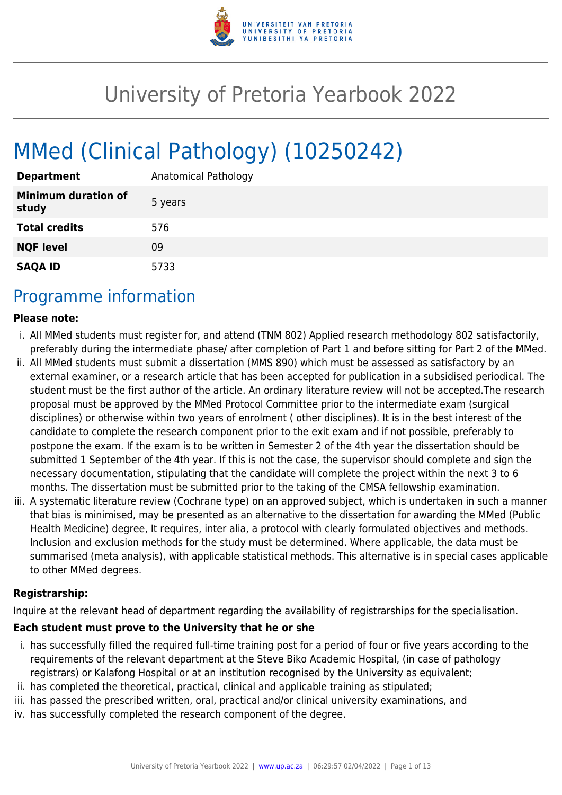

# University of Pretoria Yearbook 2022

# MMed (Clinical Pathology) (10250242)

| <b>Department</b>                   | Anatomical Pathology |
|-------------------------------------|----------------------|
| <b>Minimum duration of</b><br>study | 5 years              |
| <b>Total credits</b>                | 576                  |
| <b>NQF level</b>                    | 09                   |
| <b>SAQA ID</b>                      | 5733                 |

## Programme information

#### **Please note:**

- i. All MMed students must register for, and attend (TNM 802) Applied research methodology 802 satisfactorily, preferably during the intermediate phase/ after completion of Part 1 and before sitting for Part 2 of the MMed.
- ii. All MMed students must submit a dissertation (MMS 890) which must be assessed as satisfactory by an external examiner, or a research article that has been accepted for publication in a subsidised periodical. The student must be the first author of the article. An ordinary literature review will not be accepted.The research proposal must be approved by the MMed Protocol Committee prior to the intermediate exam (surgical disciplines) or otherwise within two years of enrolment ( other disciplines). It is in the best interest of the candidate to complete the research component prior to the exit exam and if not possible, preferably to postpone the exam. If the exam is to be written in Semester 2 of the 4th year the dissertation should be submitted 1 September of the 4th year. If this is not the case, the supervisor should complete and sign the necessary documentation, stipulating that the candidate will complete the project within the next 3 to 6 months. The dissertation must be submitted prior to the taking of the CMSA fellowship examination.
- iii. A systematic literature review (Cochrane type) on an approved subject, which is undertaken in such a manner that bias is minimised, may be presented as an alternative to the dissertation for awarding the MMed (Public Health Medicine) degree, It requires, inter alia, a protocol with clearly formulated objectives and methods. Inclusion and exclusion methods for the study must be determined. Where applicable, the data must be summarised (meta analysis), with applicable statistical methods. This alternative is in special cases applicable to other MMed degrees.

#### **Registrarship:**

Inquire at the relevant head of department regarding the availability of registrarships for the specialisation.

#### **Each student must prove to the University that he or she**

- i. has successfully filled the required full-time training post for a period of four or five years according to the requirements of the relevant department at the Steve Biko Academic Hospital, (in case of pathology registrars) or Kalafong Hospital or at an institution recognised by the University as equivalent;
- ii. has completed the theoretical, practical, clinical and applicable training as stipulated;
- iii. has passed the prescribed written, oral, practical and/or clinical university examinations, and
- iv. has successfully completed the research component of the degree.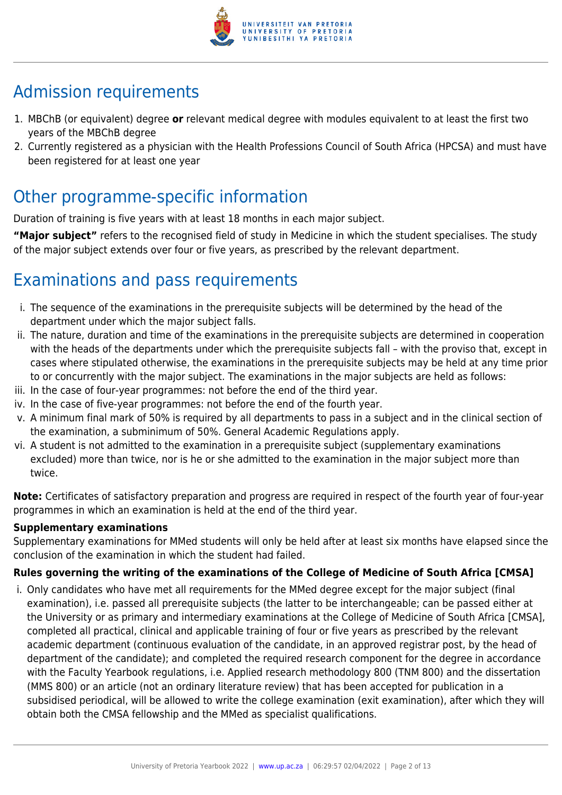

## Admission requirements

- 1. MBChB (or equivalent) degree **or** relevant medical degree with modules equivalent to at least the first two years of the MBChB degree
- 2. Currently registered as a physician with the Health Professions Council of South Africa (HPCSA) and must have been registered for at least one year

## Other programme-specific information

Duration of training is five years with at least 18 months in each major subject.

**"Major subject"** refers to the recognised field of study in Medicine in which the student specialises. The study of the major subject extends over four or five years, as prescribed by the relevant department.

## Examinations and pass requirements

- i. The sequence of the examinations in the prerequisite subjects will be determined by the head of the department under which the major subject falls.
- ii. The nature, duration and time of the examinations in the prerequisite subjects are determined in cooperation with the heads of the departments under which the prerequisite subjects fall – with the proviso that, except in cases where stipulated otherwise, the examinations in the prerequisite subjects may be held at any time prior to or concurrently with the major subject. The examinations in the major subjects are held as follows:
- iii. In the case of four-year programmes: not before the end of the third year.
- iv. In the case of five-year programmes: not before the end of the fourth year.
- v. A minimum final mark of 50% is required by all departments to pass in a subject and in the clinical section of the examination, a subminimum of 50%. General Academic Regulations apply.
- vi. A student is not admitted to the examination in a prerequisite subject (supplementary examinations excluded) more than twice, nor is he or she admitted to the examination in the major subject more than twice.

**Note:** Certificates of satisfactory preparation and progress are required in respect of the fourth year of four-year programmes in which an examination is held at the end of the third year.

#### **Supplementary examinations**

Supplementary examinations for MMed students will only be held after at least six months have elapsed since the conclusion of the examination in which the student had failed.

#### **Rules governing the writing of the examinations of the College of Medicine of South Africa [CMSA]**

i. Only candidates who have met all requirements for the MMed degree except for the major subject (final examination), i.e. passed all prerequisite subjects (the latter to be interchangeable; can be passed either at the University or as primary and intermediary examinations at the College of Medicine of South Africa [CMSA], completed all practical, clinical and applicable training of four or five years as prescribed by the relevant academic department (continuous evaluation of the candidate, in an approved registrar post, by the head of department of the candidate); and completed the required research component for the degree in accordance with the Faculty Yearbook regulations, i.e. Applied research methodology 800 (TNM 800) and the dissertation (MMS 800) or an article (not an ordinary literature review) that has been accepted for publication in a subsidised periodical, will be allowed to write the college examination (exit examination), after which they will obtain both the CMSA fellowship and the MMed as specialist qualifications.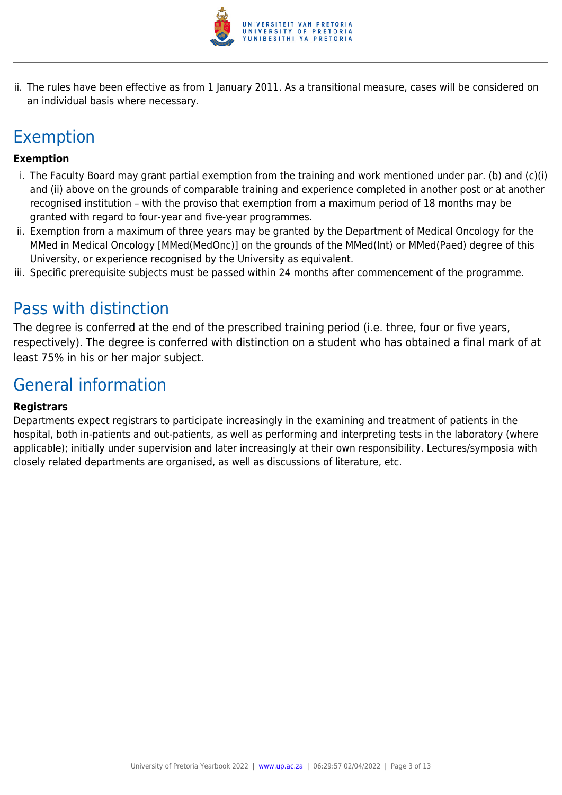

ii. The rules have been effective as from 1 January 2011. As a transitional measure, cases will be considered on an individual basis where necessary.

## Exemption

#### **Exemption**

- i. The Faculty Board may grant partial exemption from the training and work mentioned under par. (b) and (c)(i) and (ii) above on the grounds of comparable training and experience completed in another post or at another recognised institution – with the proviso that exemption from a maximum period of 18 months may be granted with regard to four-year and five-year programmes.
- ii. Exemption from a maximum of three years may be granted by the Department of Medical Oncology for the MMed in Medical Oncology [MMed(MedOnc)] on the grounds of the MMed(Int) or MMed(Paed) degree of this University, or experience recognised by the University as equivalent.
- iii. Specific prerequisite subjects must be passed within 24 months after commencement of the programme.

## Pass with distinction

The degree is conferred at the end of the prescribed training period (i.e. three, four or five years, respectively). The degree is conferred with distinction on a student who has obtained a final mark of at least 75% in his or her major subject.

## General information

#### **Registrars**

Departments expect registrars to participate increasingly in the examining and treatment of patients in the hospital, both in-patients and out-patients, as well as performing and interpreting tests in the laboratory (where applicable); initially under supervision and later increasingly at their own responsibility. Lectures/symposia with closely related departments are organised, as well as discussions of literature, etc.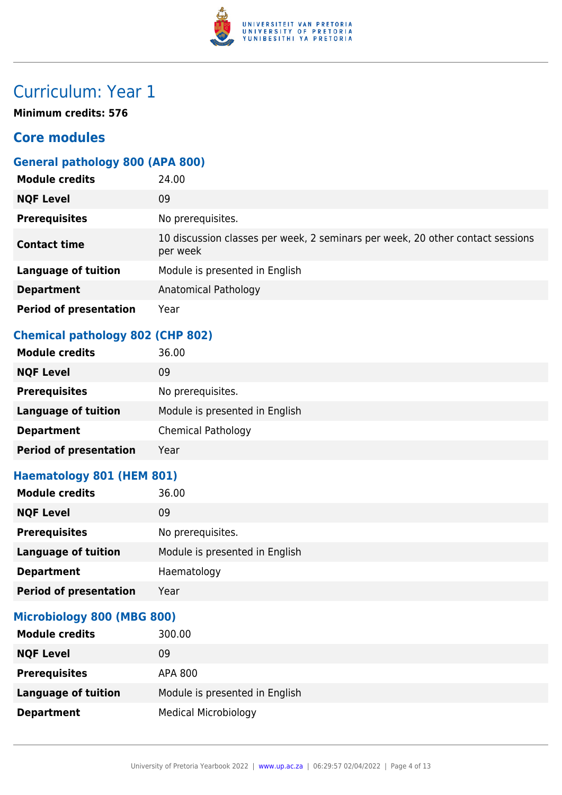

**Minimum credits: 576**

## **Core modules**

### **General pathology 800 (APA 800)**

| <b>Module credits</b>         | 24.00                                                                                      |
|-------------------------------|--------------------------------------------------------------------------------------------|
| <b>NQF Level</b>              | 09                                                                                         |
| <b>Prerequisites</b>          | No prerequisites.                                                                          |
| <b>Contact time</b>           | 10 discussion classes per week, 2 seminars per week, 20 other contact sessions<br>per week |
| <b>Language of tuition</b>    | Module is presented in English                                                             |
| <b>Department</b>             | Anatomical Pathology                                                                       |
| <b>Period of presentation</b> | Year                                                                                       |

### **Chemical pathology 802 (CHP 802)**

| <b>Module credits</b>         | 36.00                          |
|-------------------------------|--------------------------------|
| <b>NQF Level</b>              | 09                             |
| <b>Prerequisites</b>          | No prerequisites.              |
| <b>Language of tuition</b>    | Module is presented in English |
| <b>Department</b>             | <b>Chemical Pathology</b>      |
| <b>Period of presentation</b> | Year                           |

### **Haematology 801 (HEM 801)**

| <b>Module credits</b>         | 36.00                          |
|-------------------------------|--------------------------------|
| <b>NQF Level</b>              | 09                             |
| <b>Prerequisites</b>          | No prerequisites.              |
| <b>Language of tuition</b>    | Module is presented in English |
| <b>Department</b>             | Haematology                    |
| <b>Period of presentation</b> | Year                           |

#### **Microbiology 800 (MBG 800)**

| <b>Module credits</b>      | 300.00                         |
|----------------------------|--------------------------------|
| <b>NQF Level</b>           | 09                             |
| <b>Prerequisites</b>       | APA 800                        |
| <b>Language of tuition</b> | Module is presented in English |
| <b>Department</b>          | <b>Medical Microbiology</b>    |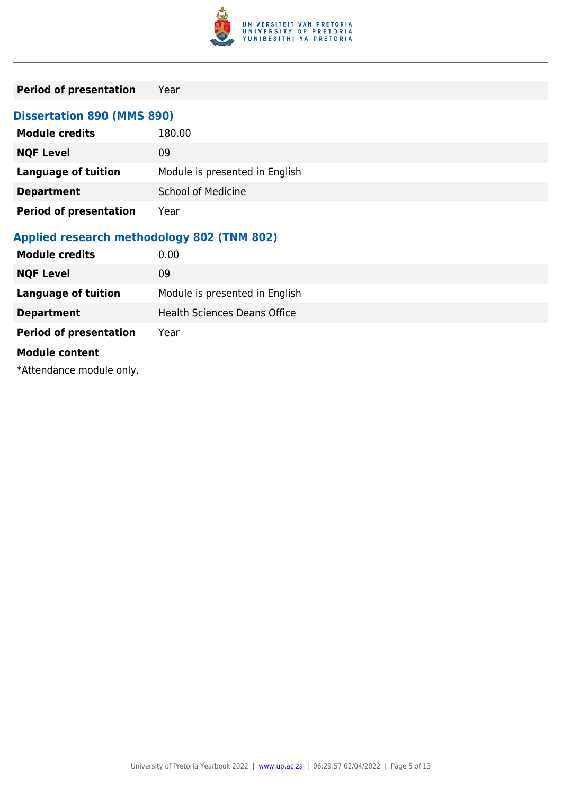

| <b>Period of presentation</b>              | Year                                |
|--------------------------------------------|-------------------------------------|
| <b>Dissertation 890 (MMS 890)</b>          |                                     |
| <b>Module credits</b>                      | 180.00                              |
| <b>NQF Level</b>                           | 09                                  |
| <b>Language of tuition</b>                 | Module is presented in English      |
| <b>Department</b>                          | <b>School of Medicine</b>           |
| <b>Period of presentation</b>              | Year                                |
| Applied research methodology 802 (TNM 802) |                                     |
| <b>Module credits</b>                      | 0.00                                |
| <b>NQF Level</b>                           | 09                                  |
| <b>Language of tuition</b>                 | Module is presented in English      |
| <b>Department</b>                          | <b>Health Sciences Deans Office</b> |
| <b>Period of presentation</b>              | Year                                |

#### **Module content**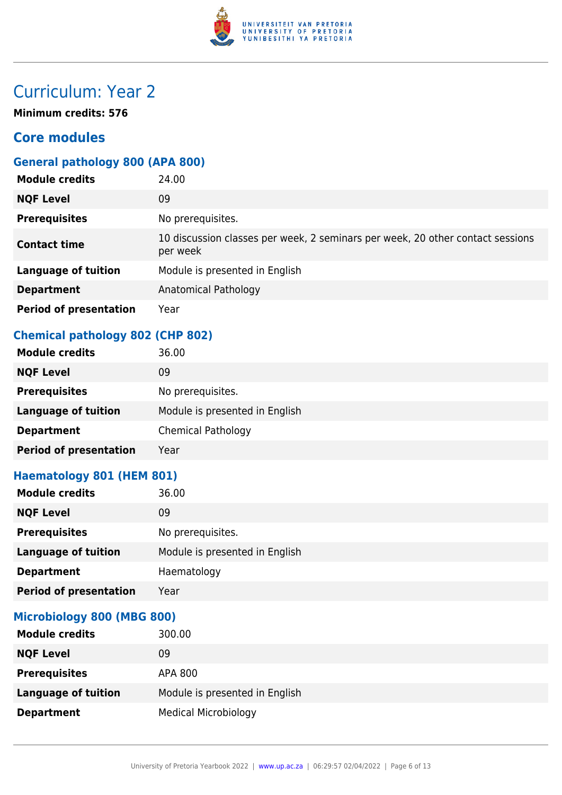

**Minimum credits: 576**

## **Core modules**

### **General pathology 800 (APA 800)**

| <b>Module credits</b>         | 24.00                                                                                      |
|-------------------------------|--------------------------------------------------------------------------------------------|
| <b>NQF Level</b>              | 09                                                                                         |
| <b>Prerequisites</b>          | No prerequisites.                                                                          |
| <b>Contact time</b>           | 10 discussion classes per week, 2 seminars per week, 20 other contact sessions<br>per week |
| <b>Language of tuition</b>    | Module is presented in English                                                             |
| <b>Department</b>             | Anatomical Pathology                                                                       |
| <b>Period of presentation</b> | Year                                                                                       |

### **Chemical pathology 802 (CHP 802)**

| <b>Module credits</b>         | 36.00                          |
|-------------------------------|--------------------------------|
| <b>NQF Level</b>              | 09                             |
| <b>Prerequisites</b>          | No prerequisites.              |
| <b>Language of tuition</b>    | Module is presented in English |
| <b>Department</b>             | <b>Chemical Pathology</b>      |
| <b>Period of presentation</b> | Year                           |

### **Haematology 801 (HEM 801)**

| <b>Module credits</b>         | 36.00                          |
|-------------------------------|--------------------------------|
| <b>NQF Level</b>              | 09                             |
| <b>Prerequisites</b>          | No prerequisites.              |
| <b>Language of tuition</b>    | Module is presented in English |
| <b>Department</b>             | Haematology                    |
| <b>Period of presentation</b> | Year                           |

#### **Microbiology 800 (MBG 800)**

| <b>Module credits</b>      | 300.00                         |
|----------------------------|--------------------------------|
| <b>NQF Level</b>           | 09                             |
| <b>Prerequisites</b>       | APA 800                        |
| <b>Language of tuition</b> | Module is presented in English |
| <b>Department</b>          | <b>Medical Microbiology</b>    |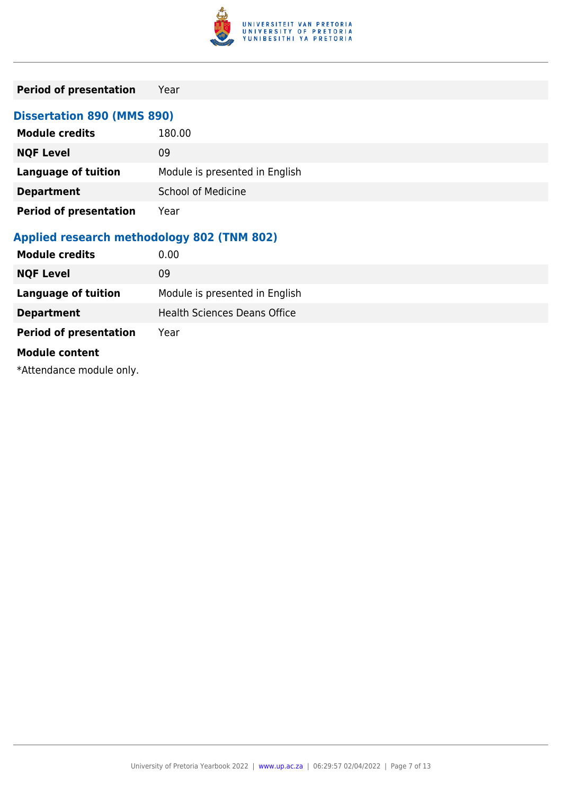

| <b>Period of presentation</b>              | Year                                |
|--------------------------------------------|-------------------------------------|
| <b>Dissertation 890 (MMS 890)</b>          |                                     |
| <b>Module credits</b>                      | 180.00                              |
| <b>NQF Level</b>                           | 09                                  |
| <b>Language of tuition</b>                 | Module is presented in English      |
| <b>Department</b>                          | <b>School of Medicine</b>           |
| <b>Period of presentation</b>              | Year                                |
| Applied research methodology 802 (TNM 802) |                                     |
| <b>Module credits</b>                      | 0.00                                |
| <b>NQF Level</b>                           | 09                                  |
| <b>Language of tuition</b>                 | Module is presented in English      |
| <b>Department</b>                          | <b>Health Sciences Deans Office</b> |
| <b>Period of presentation</b>              | Year                                |

#### **Module content**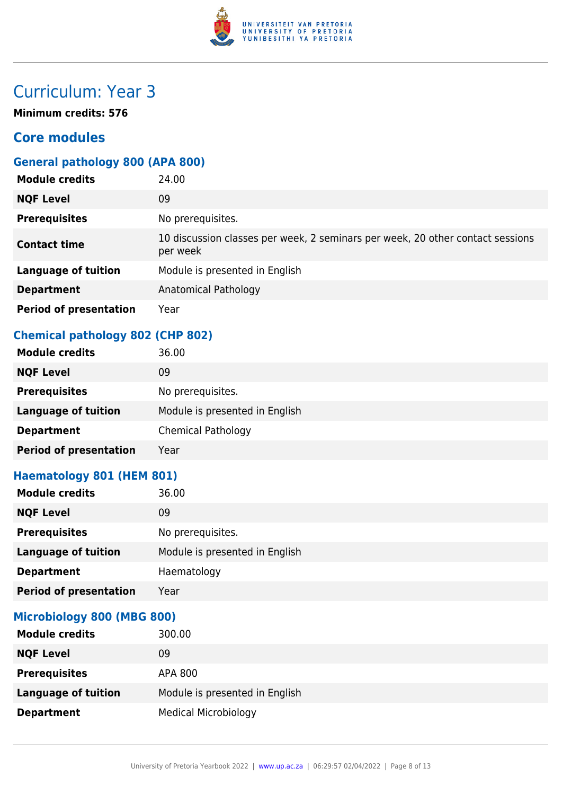

**Minimum credits: 576**

## **Core modules**

### **General pathology 800 (APA 800)**

| <b>Module credits</b>         | 24.00                                                                                      |
|-------------------------------|--------------------------------------------------------------------------------------------|
| <b>NQF Level</b>              | 09                                                                                         |
| <b>Prerequisites</b>          | No prerequisites.                                                                          |
| <b>Contact time</b>           | 10 discussion classes per week, 2 seminars per week, 20 other contact sessions<br>per week |
| <b>Language of tuition</b>    | Module is presented in English                                                             |
| <b>Department</b>             | Anatomical Pathology                                                                       |
| <b>Period of presentation</b> | Year                                                                                       |

### **Chemical pathology 802 (CHP 802)**

| <b>Module credits</b>         | 36.00                          |
|-------------------------------|--------------------------------|
| <b>NQF Level</b>              | 09                             |
| <b>Prerequisites</b>          | No prerequisites.              |
| <b>Language of tuition</b>    | Module is presented in English |
| <b>Department</b>             | <b>Chemical Pathology</b>      |
| <b>Period of presentation</b> | Year                           |

### **Haematology 801 (HEM 801)**

| <b>Module credits</b>         | 36.00                          |
|-------------------------------|--------------------------------|
| <b>NQF Level</b>              | 09                             |
| <b>Prerequisites</b>          | No prerequisites.              |
| <b>Language of tuition</b>    | Module is presented in English |
| <b>Department</b>             | Haematology                    |
| <b>Period of presentation</b> | Year                           |

#### **Microbiology 800 (MBG 800)**

| <b>Module credits</b>      | 300.00                         |
|----------------------------|--------------------------------|
| <b>NQF Level</b>           | 09                             |
| <b>Prerequisites</b>       | APA 800                        |
| <b>Language of tuition</b> | Module is presented in English |
| <b>Department</b>          | <b>Medical Microbiology</b>    |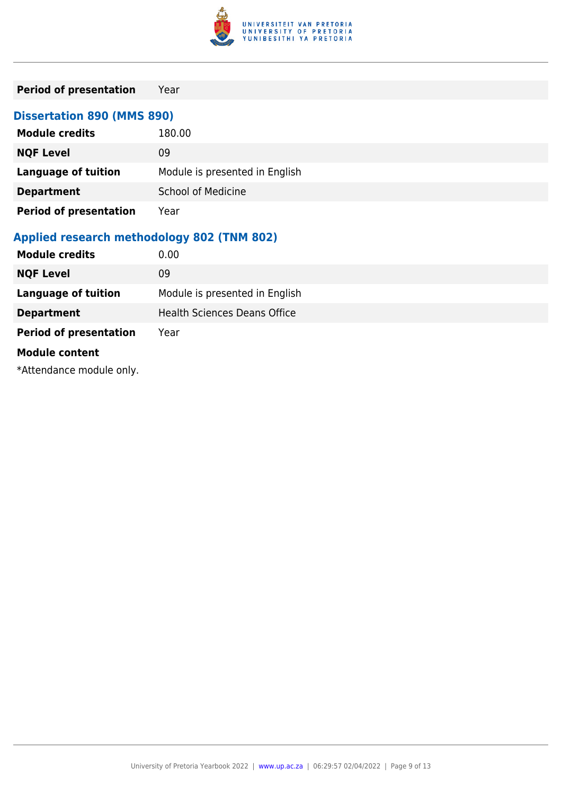

| <b>Period of presentation</b>              | Year                                |  |
|--------------------------------------------|-------------------------------------|--|
| <b>Dissertation 890 (MMS 890)</b>          |                                     |  |
| <b>Module credits</b>                      | 180.00                              |  |
| <b>NQF Level</b>                           | 09                                  |  |
| <b>Language of tuition</b>                 | Module is presented in English      |  |
| <b>Department</b>                          | <b>School of Medicine</b>           |  |
| <b>Period of presentation</b>              | Year                                |  |
| Applied research methodology 802 (TNM 802) |                                     |  |
| <b>Module credits</b>                      | 0.00                                |  |
| <b>NQF Level</b>                           | 09                                  |  |
| <b>Language of tuition</b>                 | Module is presented in English      |  |
| <b>Department</b>                          | <b>Health Sciences Deans Office</b> |  |
| <b>Period of presentation</b>              | Year                                |  |

#### **Module content**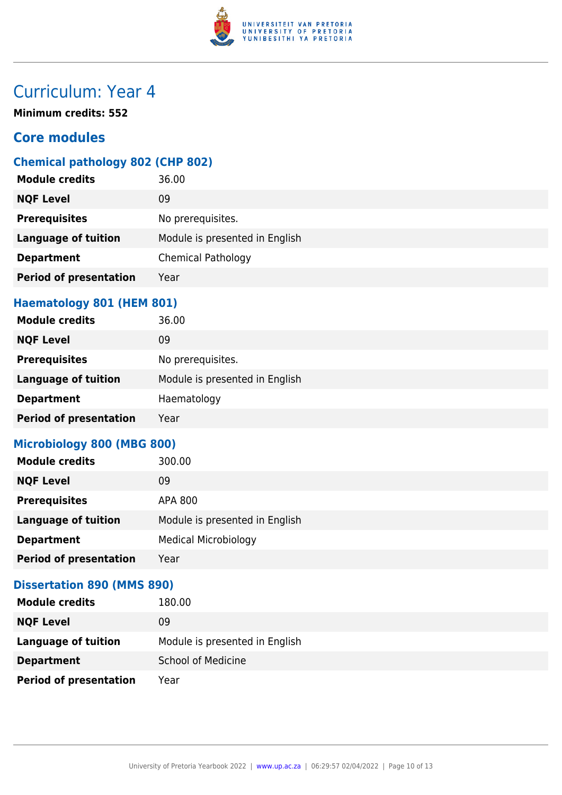

**Minimum credits: 552**

## **Core modules**

### **Chemical pathology 802 (CHP 802)**

| <b>Module credits</b>      | 36.00                          |
|----------------------------|--------------------------------|
| <b>NQF Level</b>           | 09                             |
| <b>Prerequisites</b>       | No prerequisites.              |
| <b>Language of tuition</b> | Module is presented in English |
| <b>Department</b>          | <b>Chemical Pathology</b>      |
| Period of presentation     | Year                           |
|                            |                                |

#### **Haematology 801 (HEM 801)**

| <b>Module credits</b>         | 36.00                          |
|-------------------------------|--------------------------------|
| <b>NQF Level</b>              | 09                             |
| <b>Prerequisites</b>          | No prerequisites.              |
| <b>Language of tuition</b>    | Module is presented in English |
| <b>Department</b>             | Haematology                    |
| <b>Period of presentation</b> | Year                           |

### **Microbiology 800 (MBG 800)**

| <b>Module credits</b>         | 300.00                         |
|-------------------------------|--------------------------------|
| <b>NQF Level</b>              | 09                             |
| <b>Prerequisites</b>          | APA 800                        |
| <b>Language of tuition</b>    | Module is presented in English |
| <b>Department</b>             | <b>Medical Microbiology</b>    |
| <b>Period of presentation</b> | Year                           |

#### **Dissertation 890 (MMS 890)**

| <b>Module credits</b>         | 180.00                         |
|-------------------------------|--------------------------------|
| <b>NQF Level</b>              | 09                             |
| <b>Language of tuition</b>    | Module is presented in English |
| <b>Department</b>             | <b>School of Medicine</b>      |
| <b>Period of presentation</b> | Year                           |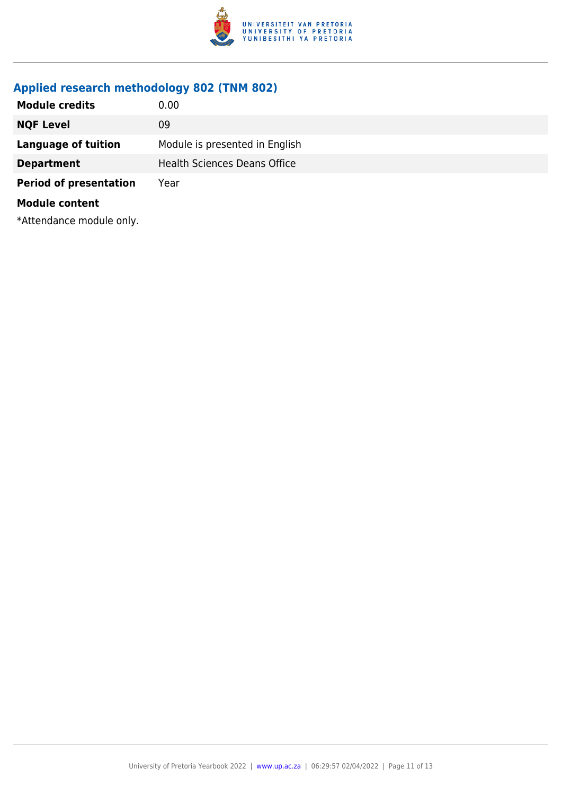

## **Applied research methodology 802 (TNM 802)**

| <b>Module credits</b>         | 0.00                                |
|-------------------------------|-------------------------------------|
| <b>NQF Level</b>              | 09                                  |
| Language of tuition           | Module is presented in English      |
| <b>Department</b>             | <b>Health Sciences Deans Office</b> |
| <b>Period of presentation</b> | Year                                |
| <b>Module content</b>         |                                     |
|                               |                                     |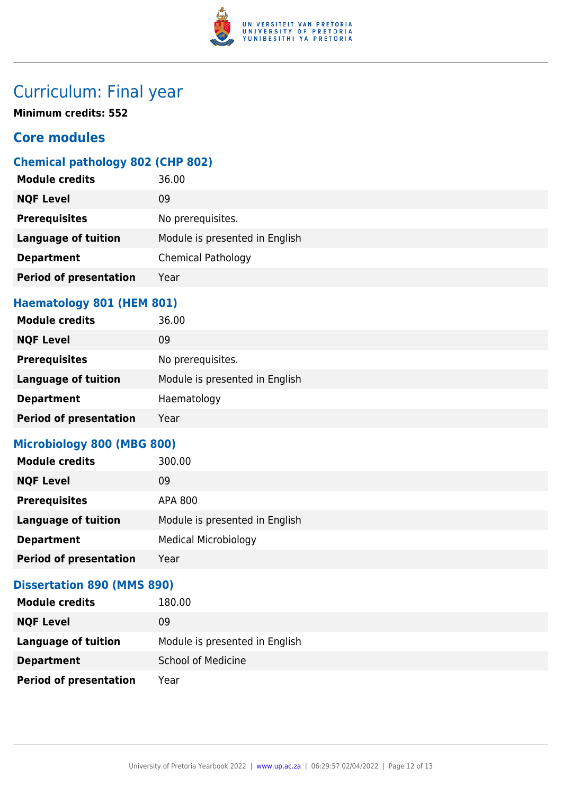

## Curriculum: Final year

**Minimum credits: 552**

## **Core modules**

### **Chemical pathology 802 (CHP 802)**

| <b>Module credits</b>         | 36.00                          |
|-------------------------------|--------------------------------|
| <b>NQF Level</b>              | 09                             |
| <b>Prerequisites</b>          | No prerequisites.              |
| <b>Language of tuition</b>    | Module is presented in English |
| <b>Department</b>             | <b>Chemical Pathology</b>      |
| <b>Period of presentation</b> | Year                           |
|                               |                                |

#### **Haematology 801 (HEM 801)**

| <b>Module credits</b>         | 36.00                          |
|-------------------------------|--------------------------------|
| <b>NQF Level</b>              | 09                             |
| <b>Prerequisites</b>          | No prerequisites.              |
| <b>Language of tuition</b>    | Module is presented in English |
| <b>Department</b>             | Haematology                    |
| <b>Period of presentation</b> | Year                           |

#### **Microbiology 800 (MBG 800)**

| <b>Module credits</b>         | 300.00                         |
|-------------------------------|--------------------------------|
| <b>NQF Level</b>              | 09                             |
| <b>Prerequisites</b>          | APA 800                        |
| <b>Language of tuition</b>    | Module is presented in English |
| <b>Department</b>             | <b>Medical Microbiology</b>    |
| <b>Period of presentation</b> | Year                           |

#### **Dissertation 890 (MMS 890)**

| <b>Module credits</b>         | 180.00                         |
|-------------------------------|--------------------------------|
| <b>NQF Level</b>              | 09                             |
| <b>Language of tuition</b>    | Module is presented in English |
| <b>Department</b>             | <b>School of Medicine</b>      |
| <b>Period of presentation</b> | Year                           |